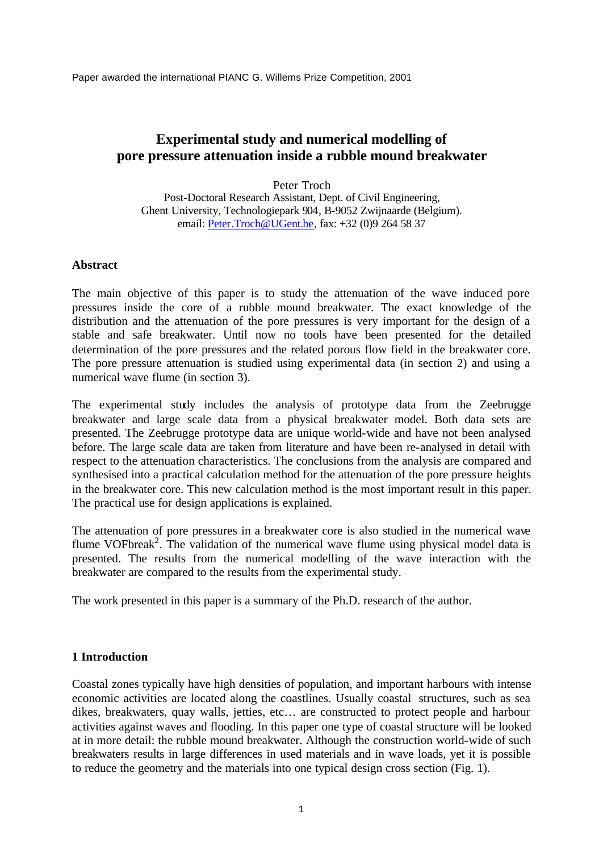Paper awarded the international PIANC G. Willems Prize Competition, 2001

# **Experimental study and numerical modelling of pore pressure attenuation inside a rubble mound breakwater**

Peter Troch Post-Doctoral Research Assistant, Dept. of Civil Engineering, Ghent University, Technologiepark 904, B-9052 Zwijnaarde (Belgium). email: Peter.Troch@UGent.be, fax: +32 (0)9 264 58 37

# **Abstract**

The main objective of this paper is to study the attenuation of the wave induced pore pressures inside the core of a rubble mound breakwater. The exact knowledge of the distribution and the attenuation of the pore pressures is very important for the design of a stable and safe breakwater. Until now no tools have been presented for the detailed determination of the pore pressures and the related porous flow field in the breakwater core. The pore pressure attenuation is studied using experimental data (in section 2) and using a numerical wave flume (in section 3).

The experimental study includes the analysis of prototype data from the Zeebrugge breakwater and large scale data from a physical breakwater model. Both data sets are presented. The Zeebrugge prototype data are unique world-wide and have not been analysed before. The large scale data are taken from literature and have been re-analysed in detail with respect to the attenuation characteristics. The conclusions from the analysis are compared and synthesised into a practical calculation method for the attenuation of the pore pressure heights in the breakwater core. This new calculation method is the most important result in this paper. The practical use for design applications is explained.

The attenuation of pore pressures in a breakwater core is also studied in the numerical wave flume VOFbreak<sup>2</sup>. The validation of the numerical wave flume using physical model data is presented. The results from the numerical modelling of the wave interaction with the breakwater are compared to the results from the experimental study.

The work presented in this paper is a summary of the Ph.D. research of the author.

# **1 Introduction**

Coastal zones typically have high densities of population, and important harbours with intense economic activities are located along the coastlines. Usually coastal structures, such as sea dikes, breakwaters, quay walls, jetties, etc… are constructed to protect people and harbour activities against waves and flooding. In this paper one type of coastal structure will be looked at in more detail: the rubble mound breakwater. Although the construction world-wide of such breakwaters results in large differences in used materials and in wave loads, yet it is possible to reduce the geometry and the materials into one typical design cross section (Fig. 1).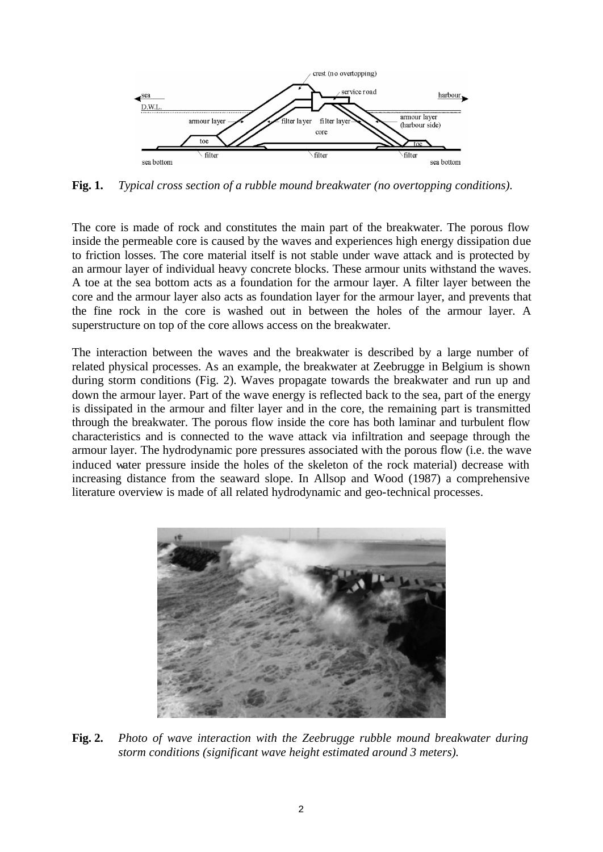

**Fig. 1.** *Typical cross section of a rubble mound breakwater (no overtopping conditions).*

The core is made of rock and constitutes the main part of the breakwater. The porous flow inside the permeable core is caused by the waves and experiences high energy dissipation due to friction losses. The core material itself is not stable under wave attack and is protected by an armour layer of individual heavy concrete blocks. These armour units withstand the waves. A toe at the sea bottom acts as a foundation for the armour layer. A filter layer between the core and the armour layer also acts as foundation layer for the armour layer, and prevents that the fine rock in the core is washed out in between the holes of the armour layer. A superstructure on top of the core allows access on the breakwater.

The interaction between the waves and the breakwater is described by a large number of related physical processes. As an example, the breakwater at Zeebrugge in Belgium is shown during storm conditions (Fig. 2). Waves propagate towards the breakwater and run up and down the armour layer. Part of the wave energy is reflected back to the sea, part of the energy is dissipated in the armour and filter layer and in the core, the remaining part is transmitted through the breakwater. The porous flow inside the core has both laminar and turbulent flow characteristics and is connected to the wave attack via infiltration and seepage through the armour layer. The hydrodynamic pore pressures associated with the porous flow (i.e. the wave induced water pressure inside the holes of the skeleton of the rock material) decrease with increasing distance from the seaward slope. In Allsop and Wood (1987) a comprehensive literature overview is made of all related hydrodynamic and geo-technical processes.



**Fig. 2.** *Photo of wave interaction with the Zeebrugge rubble mound breakwater during storm conditions (significant wave height estimated around 3 meters).*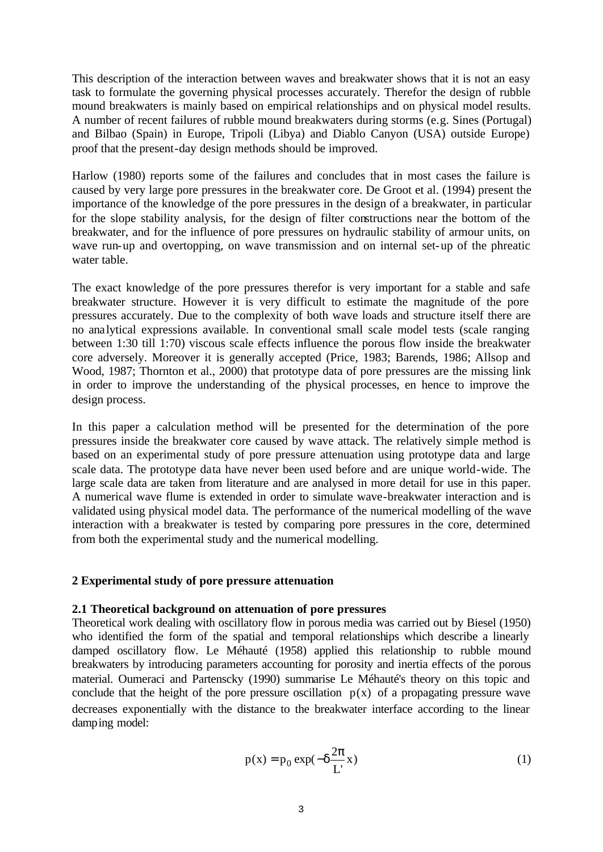This description of the interaction between waves and breakwater shows that it is not an easy task to formulate the governing physical processes accurately. Therefor the design of rubble mound breakwaters is mainly based on empirical relationships and on physical model results. A number of recent failures of rubble mound breakwaters during storms (e.g. Sines (Portugal) and Bilbao (Spain) in Europe, Tripoli (Libya) and Diablo Canyon (USA) outside Europe) proof that the present-day design methods should be improved.

Harlow (1980) reports some of the failures and concludes that in most cases the failure is caused by very large pore pressures in the breakwater core. De Groot et al. (1994) present the importance of the knowledge of the pore pressures in the design of a breakwater, in particular for the slope stability analysis, for the design of filter constructions near the bottom of the breakwater, and for the influence of pore pressures on hydraulic stability of armour units, on wave run-up and overtopping, on wave transmission and on internal set-up of the phreatic water table.

The exact knowledge of the pore pressures therefor is very important for a stable and safe breakwater structure. However it is very difficult to estimate the magnitude of the pore pressures accurately. Due to the complexity of both wave loads and structure itself there are no analytical expressions available. In conventional small scale model tests (scale ranging between 1:30 till 1:70) viscous scale effects influence the porous flow inside the breakwater core adversely. Moreover it is generally accepted (Price, 1983; Barends, 1986; Allsop and Wood, 1987; Thornton et al., 2000) that prototype data of pore pressures are the missing link in order to improve the understanding of the physical processes, en hence to improve the design process.

In this paper a calculation method will be presented for the determination of the pore pressures inside the breakwater core caused by wave attack. The relatively simple method is based on an experimental study of pore pressure attenuation using prototype data and large scale data. The prototype data have never been used before and are unique world-wide. The large scale data are taken from literature and are analysed in more detail for use in this paper. A numerical wave flume is extended in order to simulate wave-breakwater interaction and is validated using physical model data. The performance of the numerical modelling of the wave interaction with a breakwater is tested by comparing pore pressures in the core, determined from both the experimental study and the numerical modelling.

### **2 Experimental study of pore pressure attenuation**

# **2.1 Theoretical background on attenuation of pore pressures**

Theoretical work dealing with oscillatory flow in porous media was carried out by Biesel (1950) who identified the form of the spatial and temporal relationships which describe a linearly damped oscillatory flow. Le Méhauté (1958) applied this relationship to rubble mound breakwaters by introducing parameters accounting for porosity and inertia effects of the porous material. Oumeraci and Partenscky (1990) summarise Le Méhauté's theory on this topic and conclude that the height of the pore pressure oscillation  $p(x)$  of a propagating pressure wave decreases exponentially with the distance to the breakwater interface according to the linear damping model:

$$
p(x) = p_0 \exp(-\delta \frac{2\pi}{L} x)
$$
 (1)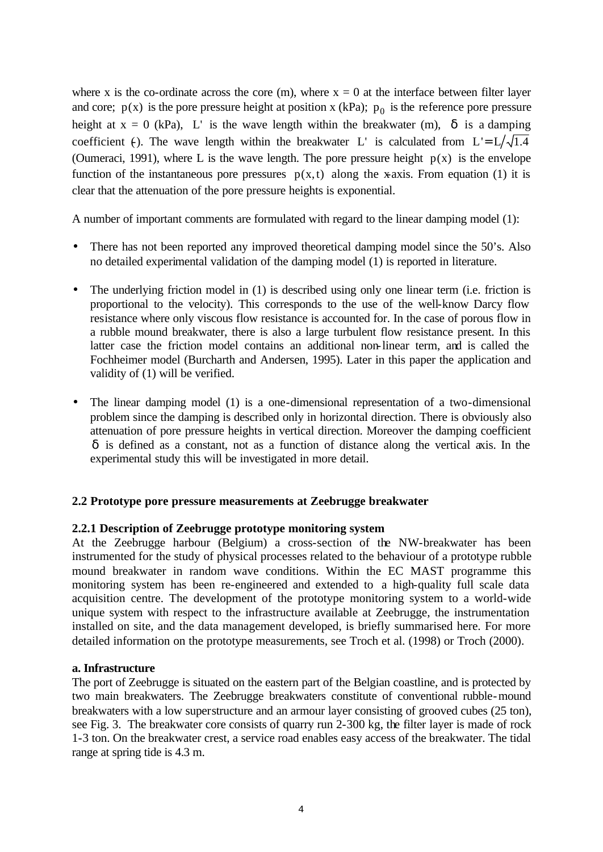where x is the co-ordinate across the core (m), where  $x = 0$  at the interface between filter layer and core;  $p(x)$  is the pore pressure height at position x (kPa);  $p_0$  is the reference pore pressure height at  $x = 0$  (kPa), L' is the wave length within the breakwater (m),  $\delta$  is a damping coefficient (-). The wave length within the breakwater L' is calculated from  $L' = L / \sqrt{1.4}$ . (Oumeraci, 1991), where L is the wave length. The pore pressure height  $p(x)$  is the envelope function of the instantaneous pore pressures  $p(x,t)$  along the x-axis. From equation (1) it is clear that the attenuation of the pore pressure heights is exponential.

A number of important comments are formulated with regard to the linear damping model (1):

- There has not been reported any improved theoretical damping model since the 50's. Also no detailed experimental validation of the damping model (1) is reported in literature.
- The underlying friction model in (1) is described using only one linear term (i.e. friction is proportional to the velocity). This corresponds to the use of the well-know Darcy flow resistance where only viscous flow resistance is accounted for. In the case of porous flow in a rubble mound breakwater, there is also a large turbulent flow resistance present. In this latter case the friction model contains an additional non-linear term, and is called the Fochheimer model (Burcharth and Andersen, 1995). Later in this paper the application and validity of (1) will be verified.
- The linear damping model (1) is a one-dimensional representation of a two-dimensional problem since the damping is described only in horizontal direction. There is obviously also attenuation of pore pressure heights in vertical direction. Moreover the damping coefficient δ is defined as a constant, not as a function of distance along the vertical axis. In the experimental study this will be investigated in more detail.

# **2.2 Prototype pore pressure measurements at Zeebrugge breakwater**

### **2.2.1 Description of Zeebrugge prototype monitoring system**

At the Zeebrugge harbour (Belgium) a cross-section of the NW-breakwater has been instrumented for the study of physical processes related to the behaviour of a prototype rubble mound breakwater in random wave conditions. Within the EC MAST programme this monitoring system has been re-engineered and extended to a high-quality full scale data acquisition centre. The development of the prototype monitoring system to a world-wide unique system with respect to the infrastructure available at Zeebrugge, the instrumentation installed on site, and the data management developed, is briefly summarised here. For more detailed information on the prototype measurements, see Troch et al. (1998) or Troch (2000).

### **a. Infrastructure**

The port of Zeebrugge is situated on the eastern part of the Belgian coastline, and is protected by two main breakwaters. The Zeebrugge breakwaters constitute of conventional rubble-mound breakwaters with a low superstructure and an armour layer consisting of grooved cubes (25 ton), see Fig. 3. The breakwater core consists of quarry run 2-300 kg, the filter layer is made of rock 1-3 ton. On the breakwater crest, a service road enables easy access of the breakwater. The tidal range at spring tide is 4.3 m.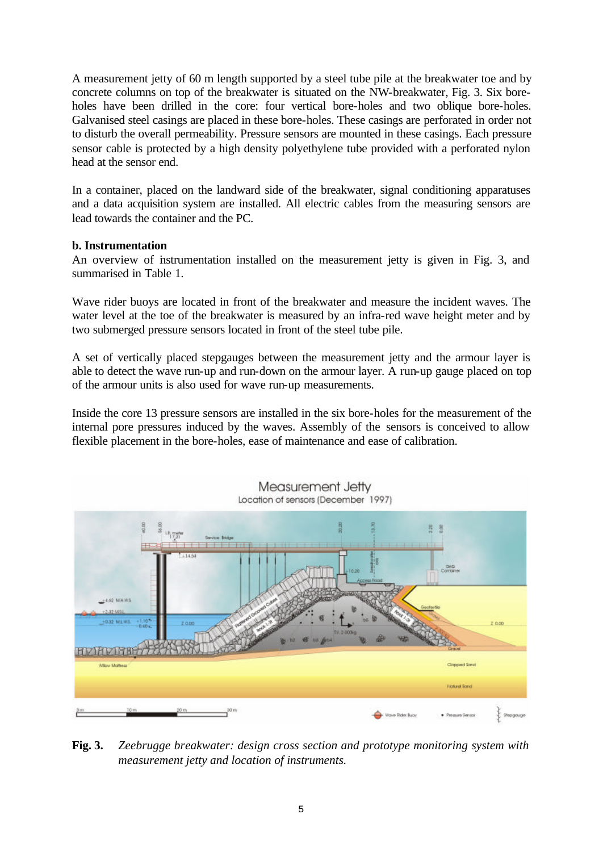A measurement jetty of 60 m length supported by a steel tube pile at the breakwater toe and by concrete columns on top of the breakwater is situated on the NW-breakwater, Fig. 3. Six boreholes have been drilled in the core: four vertical bore-holes and two oblique bore-holes. Galvanised steel casings are placed in these bore-holes. These casings are perforated in order not to disturb the overall permeability. Pressure sensors are mounted in these casings. Each pressure sensor cable is protected by a high density polyethylene tube provided with a perforated nylon head at the sensor end.

In a container, placed on the landward side of the breakwater, signal conditioning apparatuses and a data acquisition system are installed. All electric cables from the measuring sensors are lead towards the container and the PC.

# **b. Instrumentation**

An overview of instrumentation installed on the measurement jetty is given in Fig. 3, and summarised in Table 1.

Wave rider buoys are located in front of the breakwater and measure the incident waves. The water level at the toe of the breakwater is measured by an infra-red wave height meter and by two submerged pressure sensors located in front of the steel tube pile.

A set of vertically placed stepgauges between the measurement jetty and the armour layer is able to detect the wave run-up and run-down on the armour layer. A run-up gauge placed on top of the armour units is also used for wave run-up measurements.

Inside the core 13 pressure sensors are installed in the six bore-holes for the measurement of the internal pore pressures induced by the waves. Assembly of the sensors is conceived to allow flexible placement in the bore-holes, ease of maintenance and ease of calibration.



**Fig. 3.** *Zeebrugge breakwater: design cross section and prototype monitoring system with measurement jetty and location of instruments.*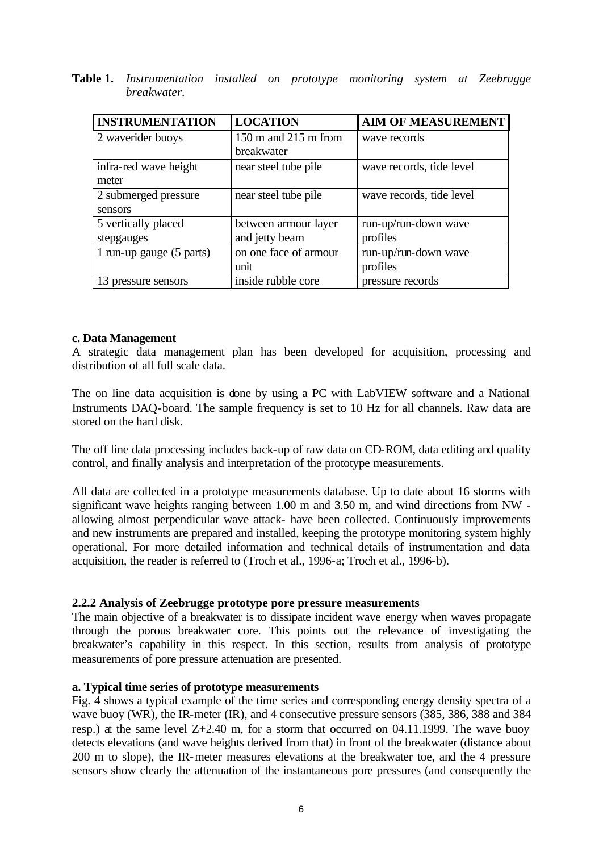| Table 1. Instrumentation installed on prototype monitoring system at Zeebrugge |  |  |  |  |
|--------------------------------------------------------------------------------|--|--|--|--|
| breakwater.                                                                    |  |  |  |  |

| <b>INSTRUMENTATION</b>   | <b>LOCATION</b>       | <b>AIM OF MEASUREMENT</b> |
|--------------------------|-----------------------|---------------------------|
| 2 waverider buoys        | 150 m and 215 m from  | wave records              |
|                          | breakwater            |                           |
| infra-red wave height    | near steel tube pile  | wave records, tide level  |
| meter                    |                       |                           |
| 2 submerged pressure     | near steel tube pile  | wave records, tide level  |
| sensors                  |                       |                           |
| 5 vertically placed      | between armour layer  | run-up/run-down wave      |
| stepgauges               | and jetty beam        | profiles                  |
| 1 run-up gauge (5 parts) | on one face of armour | run-up/run-down wave      |
|                          | unit                  | profiles                  |
| pressure sensors         | inside rubble core    | pressure records          |

## **c. Data Management**

A strategic data management plan has been developed for acquisition, processing and distribution of all full scale data.

The on line data acquisition is done by using a PC with LabVIEW software and a National Instruments DAQ-board. The sample frequency is set to 10 Hz for all channels. Raw data are stored on the hard disk.

The off line data processing includes back-up of raw data on CD-ROM, data editing and quality control, and finally analysis and interpretation of the prototype measurements.

All data are collected in a prototype measurements database. Up to date about 16 storms with significant wave heights ranging between 1.00 m and 3.50 m, and wind directions from NW allowing almost perpendicular wave attack- have been collected. Continuously improvements and new instruments are prepared and installed, keeping the prototype monitoring system highly operational. For more detailed information and technical details of instrumentation and data acquisition, the reader is referred to (Troch et al., 1996-a; Troch et al., 1996-b).

### **2.2.2 Analysis of Zeebrugge prototype pore pressure measurements**

The main objective of a breakwater is to dissipate incident wave energy when waves propagate through the porous breakwater core. This points out the relevance of investigating the breakwater's capability in this respect. In this section, results from analysis of prototype measurements of pore pressure attenuation are presented.

### **a. Typical time series of prototype measurements**

Fig. 4 shows a typical example of the time series and corresponding energy density spectra of a wave buoy (WR), the IR-meter (IR), and 4 consecutive pressure sensors (385, 386, 388 and 384 resp.) at the same level  $Z+2.40$  m, for a storm that occurred on 04.11.1999. The wave buoy detects elevations (and wave heights derived from that) in front of the breakwater (distance about 200 m to slope), the IR-meter measures elevations at the breakwater toe, and the 4 pressure sensors show clearly the attenuation of the instantaneous pore pressures (and consequently the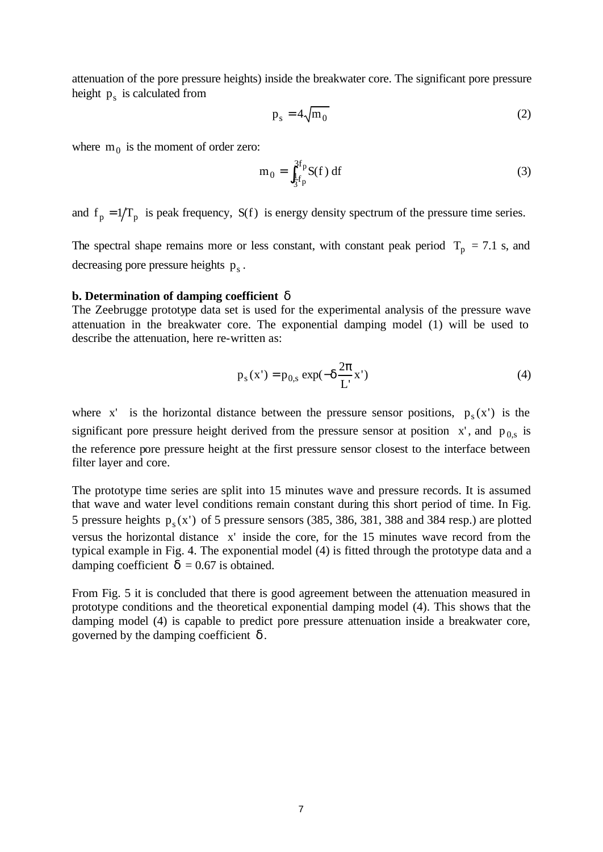attenuation of the pore pressure heights) inside the breakwater core. The significant pore pressure height  $p_s$  is calculated from

$$
p_s = 4\sqrt{m_0} \tag{2}
$$

where  $m_0$  is the moment of order zero:

$$
m_0 = \int_{\frac{1}{3}f_p}^{3f_p} S(f) df
$$
 (3)

and  $f_p = 1/T_p$  is peak frequency,  $S(f)$  is energy density spectrum of the pressure time series.

The spectral shape remains more or less constant, with constant peak period  $T_p = 7.1$  s, and decreasing pore pressure heights  $p_s$ .

### **b. Determination of damping coefficient** δ

The Zeebrugge prototype data set is used for the experimental analysis of the pressure wave attenuation in the breakwater core. The exponential damping model (1) will be used to describe the attenuation, here re-written as:

$$
p_s(x') = p_{0,s} \exp(-\delta \frac{2\pi}{L'} x') \tag{4}
$$

where x' is the horizontal distance between the pressure sensor positions,  $p_s(x')$  is the significant pore pressure height derived from the pressure sensor at position  $x'$ , and  $p_{0,s}$  is the reference pore pressure height at the first pressure sensor closest to the interface between filter layer and core.

The prototype time series are split into 15 minutes wave and pressure records. It is assumed that wave and water level conditions remain constant during this short period of time. In Fig. 5 pressure heights  $p_s(x')$  of 5 pressure sensors (385, 386, 381, 388 and 384 resp.) are plotted versus the horizontal distance x' inside the core, for the 15 minutes wave record from the typical example in Fig. 4. The exponential model (4) is fitted through the prototype data and a damping coefficient  $\delta = 0.67$  is obtained.

From Fig. 5 it is concluded that there is good agreement between the attenuation measured in prototype conditions and the theoretical exponential damping model (4). This shows that the damping model (4) is capable to predict pore pressure attenuation inside a breakwater core, governed by the damping coefficient  $δ$ .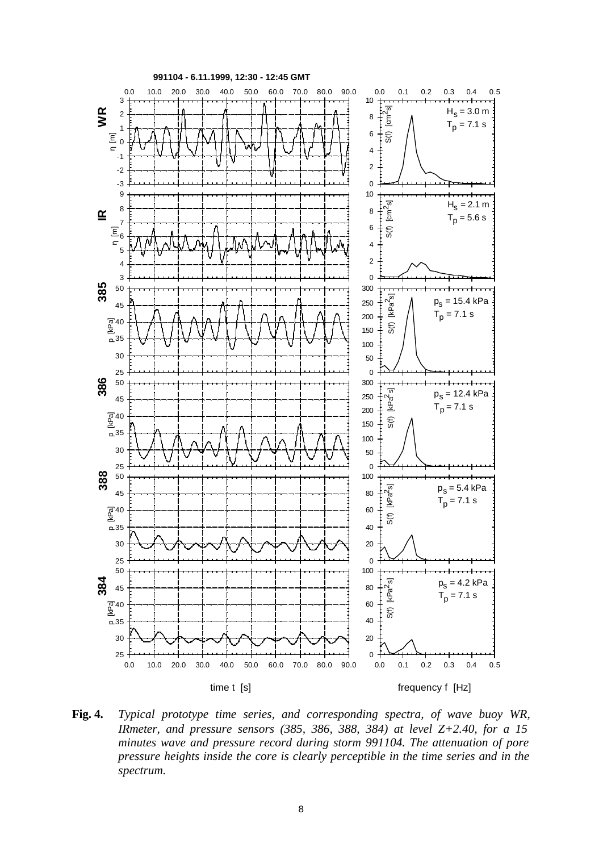

**Fig. 4.** *Typical prototype time series, and corresponding spectra, of wave buoy WR, IRmeter, and pressure sensors (385, 386, 388, 384) at level Z+2.40, for a 15 minutes wave and pressure record during storm 991104. The attenuation of pore pressure heights inside the core is clearly perceptible in the time series and in the spectrum.*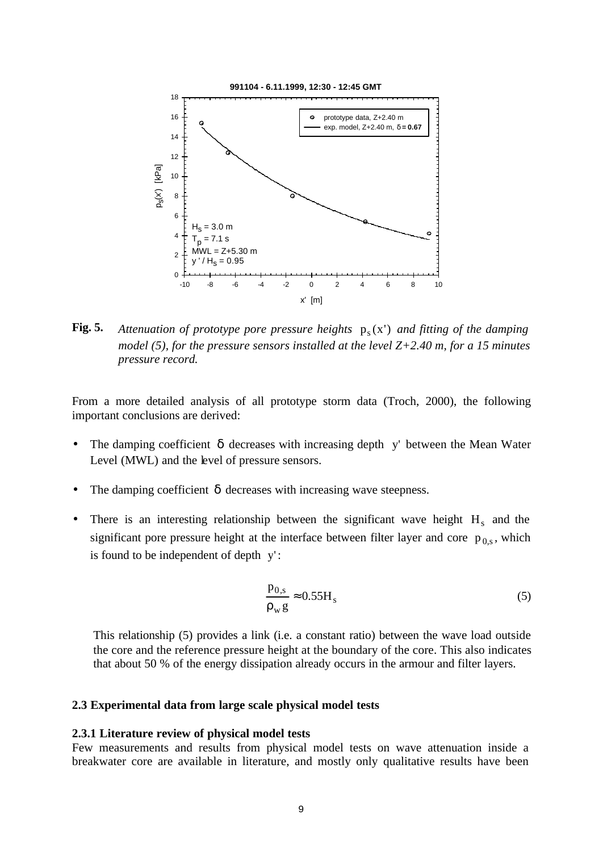

**Fig. 5.** Attenuation of prototype pore pressure heights  $p_s(x')$  and fitting of the damping *model (5), for the pressure sensors installed at the level Z+2.40 m, for a 15 minutes pressure record.*

From a more detailed analysis of all prototype storm data (Troch, 2000), the following important conclusions are derived:

- The damping coefficient  $\delta$  decreases with increasing depth y' between the Mean Water Level (MWL) and the level of pressure sensors.
- The damping coefficient  $\delta$  decreases with increasing wave steepness.
- There is an interesting relationship between the significant wave height  $H_s$  and the significant pore pressure height at the interface between filter layer and core  $p_{0,s}$ , which is found to be independent of depth y':

$$
\frac{p_{0,s}}{\rho_w g} \approx 0.55 H_s \tag{5}
$$

This relationship (5) provides a link (i.e. a constant ratio) between the wave load outside the core and the reference pressure height at the boundary of the core. This also indicates that about 50 % of the energy dissipation already occurs in the armour and filter layers.

### **2.3 Experimental data from large scale physical model tests**

### **2.3.1 Literature review of physical model tests**

Few measurements and results from physical model tests on wave attenuation inside a breakwater core are available in literature, and mostly only qualitative results have been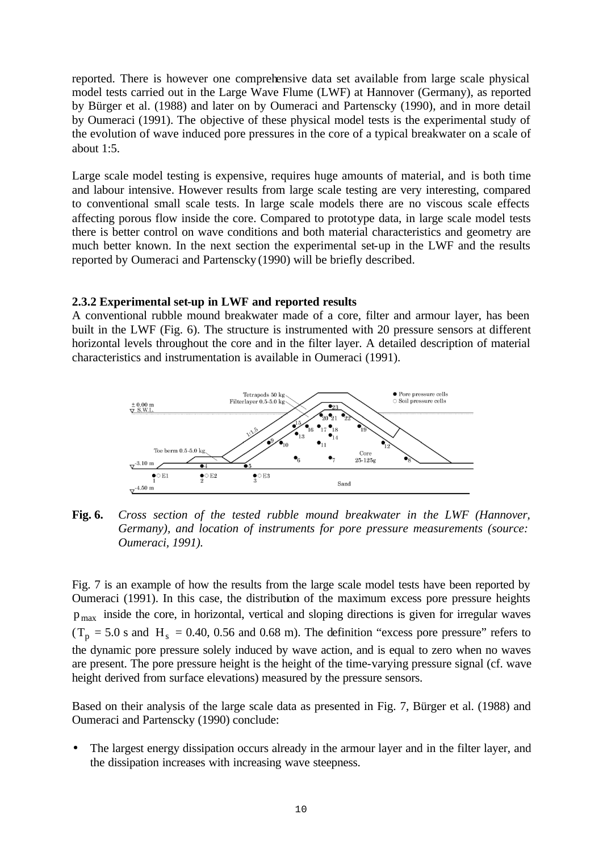reported. There is however one comprehensive data set available from large scale physical model tests carried out in the Large Wave Flume (LWF) at Hannover (Germany), as reported by Bürger et al. (1988) and later on by Oumeraci and Partenscky (1990), and in more detail by Oumeraci (1991). The objective of these physical model tests is the experimental study of the evolution of wave induced pore pressures in the core of a typical breakwater on a scale of about 1:5.

Large scale model testing is expensive, requires huge amounts of material, and is both time and labour intensive. However results from large scale testing are very interesting, compared to conventional small scale tests. In large scale models there are no viscous scale effects affecting porous flow inside the core. Compared to prototype data, in large scale model tests there is better control on wave conditions and both material characteristics and geometry are much better known. In the next section the experimental set-up in the LWF and the results reported by Oumeraci and Partenscky (1990) will be briefly described.

# **2.3.2 Experimental set-up in LWF and reported results**

A conventional rubble mound breakwater made of a core, filter and armour layer, has been built in the LWF (Fig. 6). The structure is instrumented with 20 pressure sensors at different horizontal levels throughout the core and in the filter layer. A detailed description of material characteristics and instrumentation is available in Oumeraci (1991).



**Fig. 6.** *Cross section of the tested rubble mound breakwater in the LWF (Hannover, Germany), and location of instruments for pore pressure measurements (source: Oumeraci, 1991).*

Fig. 7 is an example of how the results from the large scale model tests have been reported by Oumeraci (1991). In this case, the distribution of the maximum excess pore pressure heights p max inside the core, in horizontal, vertical and sloping directions is given for irregular waves  $(T_p = 5.0 \text{ s and H}_s = 0.40, 0.56 \text{ and } 0.68 \text{ m})$ . The definition "excess pore pressure" refers to the dynamic pore pressure solely induced by wave action, and is equal to zero when no waves are present. The pore pressure height is the height of the time-varying pressure signal (cf. wave height derived from surface elevations) measured by the pressure sensors.

Based on their analysis of the large scale data as presented in Fig. 7, Bürger et al. (1988) and Oumeraci and Partenscky (1990) conclude:

The largest energy dissipation occurs already in the armour layer and in the filter layer, and the dissipation increases with increasing wave steepness.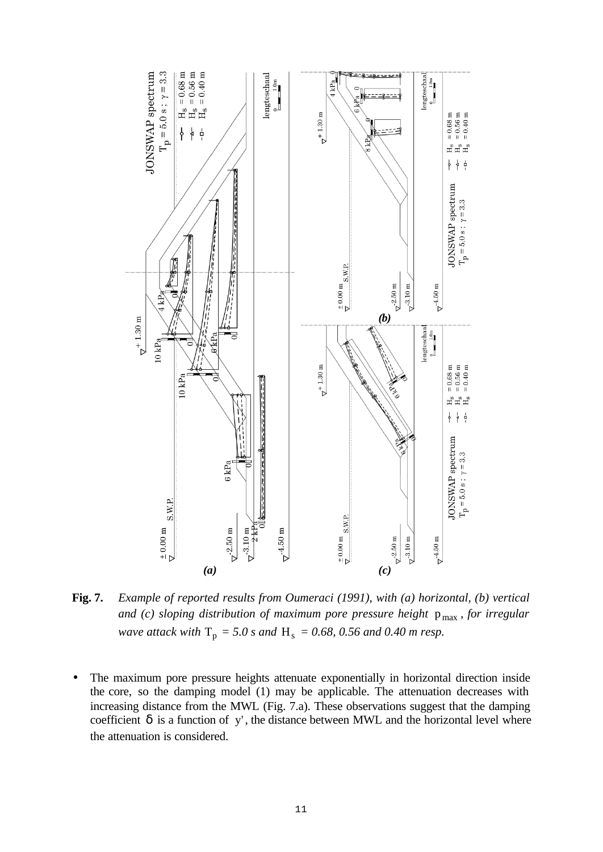

**Fig. 7.** *Example of reported results from Oumeraci (1991), with (a) horizontal, (b) vertical and (c) sloping distribution of maximum pore pressure height*  $p_{max}$ *, for irregular wave attack with*  $T_p = 5.0$  *s and*  $H_s = 0.68$ , 0.56 *and* 0.40 *m resp.* 

The maximum pore pressure heights attenuate exponentially in horizontal direction inside the core, so the damping model (1) may be applicable. The attenuation decreases with increasing distance from the MWL (Fig. 7.a). These observations suggest that the damping coefficient  $\delta$  is a function of y', the distance between MWL and the horizontal level where the attenuation is considered.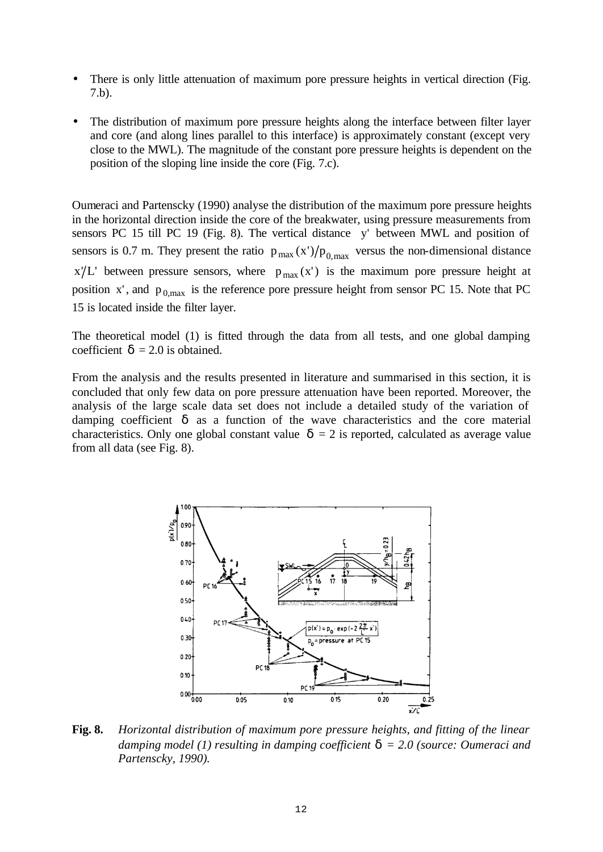- There is only little attenuation of maximum pore pressure heights in vertical direction (Fig. 7.b).
- The distribution of maximum pore pressure heights along the interface between filter layer and core (and along lines parallel to this interface) is approximately constant (except very close to the MWL). The magnitude of the constant pore pressure heights is dependent on the position of the sloping line inside the core (Fig. 7.c).

Oumeraci and Partenscky (1990) analyse the distribution of the maximum pore pressure heights in the horizontal direction inside the core of the breakwater, using pressure measurements from sensors PC 15 till PC 19 (Fig. 8). The vertical distance y' between MWL and position of sensors is 0.7 m. They present the ratio  $p_{max}(x')/p_{0,max}$  versus the non-dimensional distance  $x/L'$  between pressure sensors, where  $p_{max}(x')$  is the maximum pore pressure height at position x', and  $p_{0,max}$  is the reference pore pressure height from sensor PC 15. Note that PC 15 is located inside the filter layer.

The theoretical model (1) is fitted through the data from all tests, and one global damping coefficient  $\delta = 2.0$  is obtained.

From the analysis and the results presented in literature and summarised in this section, it is concluded that only few data on pore pressure attenuation have been reported. Moreover, the analysis of the large scale data set does not include a detailed study of the variation of damping coefficient  $\delta$  as a function of the wave characteristics and the core material characteristics. Only one global constant value  $\delta = 2$  is reported, calculated as average value from all data (see Fig. 8).



**Fig. 8.** *Horizontal distribution of maximum pore pressure heights, and fitting of the linear damping model (1) resulting in damping coefficient* δ *= 2.0 (source: Oumeraci and Partenscky, 1990).*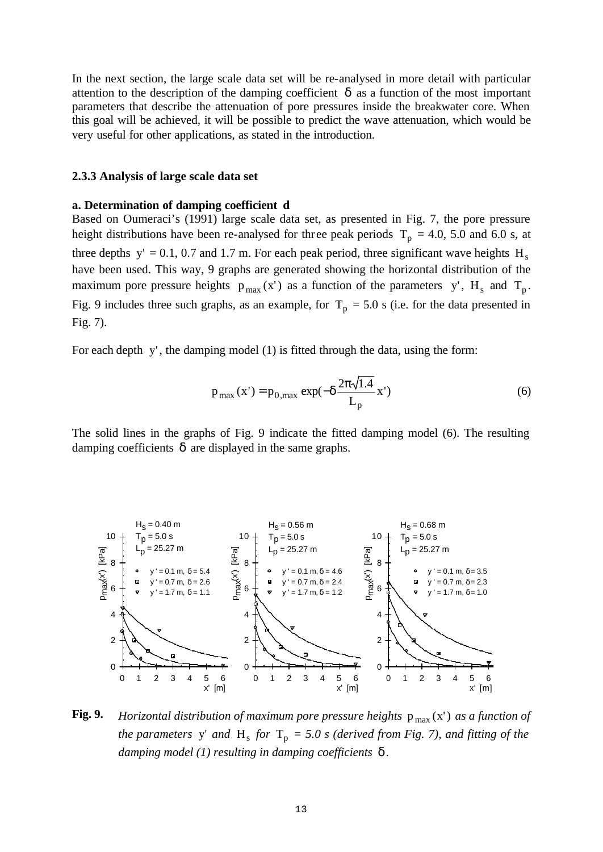In the next section, the large scale data set will be re-analysed in more detail with particular attention to the description of the damping coefficient  $\delta$  as a function of the most important parameters that describe the attenuation of pore pressures inside the breakwater core. When this goal will be achieved, it will be possible to predict the wave attenuation, which would be very useful for other applications, as stated in the introduction.

#### **2.3.3 Analysis of large scale data set**

#### **a. Determination of damping coefficient d**

Based on Oumeraci's (1991) large scale data set, as presented in Fig. 7, the pore pressure height distributions have been re-analysed for three peak periods  $T_p = 4.0$ , 5.0 and 6.0 s, at three depths  $y' = 0.1$ , 0.7 and 1.7 m. For each peak period, three significant wave heights H<sub>s</sub> have been used. This way, 9 graphs are generated showing the horizontal distribution of the maximum pore pressure heights  $p_{max}(x')$  as a function of the parameters y', H<sub>s</sub> and T<sub>p</sub>. Fig. 9 includes three such graphs, as an example, for  $T_p = 5.0$  s (i.e. for the data presented in Fig. 7).

For each depth y', the damping model (1) is fitted through the data, using the form:

$$
p_{\text{max}}(x') = p_{0,\text{max}} \exp(-\delta \frac{2\pi \sqrt{1.4}}{L_p} x')
$$
 (6)

The solid lines in the graphs of Fig. 9 indicate the fitted damping model (6). The resulting damping coefficients  $\delta$  are displayed in the same graphs.



**Fig. 9.** *Horizontal distribution of maximum pore pressure heights*  $p_{max}(x')$  *as a function of the parameters* y' and  $H_s$  *for*  $T_p = 5.0$  *s* (derived from Fig. 7), and fitting of the *damping model (1) resulting in damping coefficients* δ *.*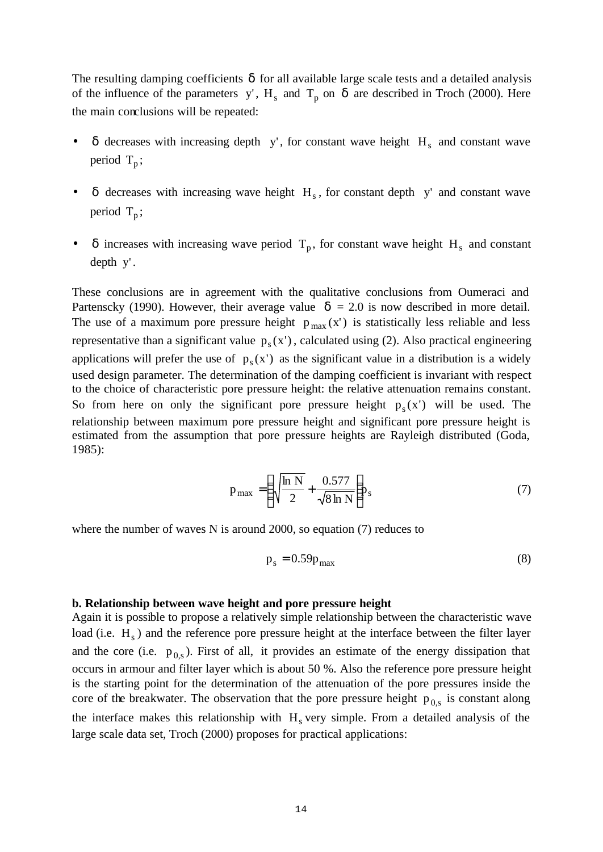The resulting damping coefficients  $\delta$  for all available large scale tests and a detailed analysis of the influence of the parameters y',  $H_s$  and  $T_p$  on  $\delta$  are described in Troch (2000). Here the main conclusions will be repeated:

- $\delta$  decreases with increasing depth y', for constant wave height  $H_s$  and constant wave period  $T_p$ ;
- $\delta$  decreases with increasing wave height  $H_s$ , for constant depth y' and constant wave period  $T_p$ ;
- $\delta$  increases with increasing wave period  $T_p$ , for constant wave height H<sub>s</sub> and constant depth y' .

These conclusions are in agreement with the qualitative conclusions from Oumeraci and Partenscky (1990). However, their average value  $\delta = 2.0$  is now described in more detail. The use of a maximum pore pressure height  $p_{max}(x')$  is statistically less reliable and less representative than a significant value  $p_s(x')$ , calculated using (2). Also practical engineering applications will prefer the use of  $p_s(x')$  as the significant value in a distribution is a widely used design parameter. The determination of the damping coefficient is invariant with respect to the choice of characteristic pore pressure height: the relative attenuation remains constant. So from here on only the significant pore pressure height  $p_s(x')$  will be used. The relationship between maximum pore pressure height and significant pore pressure height is estimated from the assumption that pore pressure heights are Rayleigh distributed (Goda, 1985):

$$
p_{\text{max}} = \left(\sqrt{\frac{\ln N}{2}} + \frac{0.577}{\sqrt{8 \ln N}}\right) p_s \tag{7}
$$

where the number of waves N is around 2000, so equation (7) reduces to

$$
p_s = 0.59p_{\text{max}} \tag{8}
$$

#### **b. Relationship between wave height and pore pressure height**

Again it is possible to propose a relatively simple relationship between the characteristic wave load (i.e. H<sub>s</sub>) and the reference pore pressure height at the interface between the filter layer and the core (i.e.  $p_{0,s}$ ). First of all, it provides an estimate of the energy dissipation that occurs in armour and filter layer which is about 50 %. Also the reference pore pressure height is the starting point for the determination of the attenuation of the pore pressures inside the core of the breakwater. The observation that the pore pressure height  $p_{0,s}$  is constant along the interface makes this relationship with  $H<sub>s</sub>$  very simple. From a detailed analysis of the large scale data set, Troch (2000) proposes for practical applications: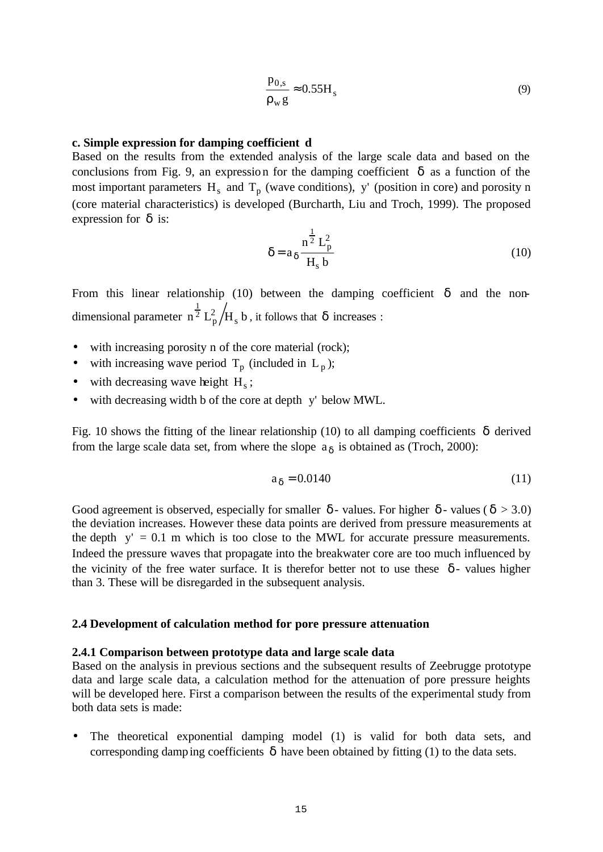$$
\frac{p_{0,s}}{\rho_w g} \approx 0.55 H_s \tag{9}
$$

#### **c. Simple expression for damping coefficient d**

Based on the results from the extended analysis of the large scale data and based on the conclusions from Fig. 9, an expression for the damping coefficient  $\delta$  as a function of the most important parameters  $H_s$  and  $T_p$  (wave conditions), y' (position in core) and porosity n (core material characteristics) is developed (Burcharth, Liu and Troch, 1999). The proposed expression for  $\delta$  is:

$$
\delta = a_{\delta} \frac{n^{\frac{1}{2}} L_p^2}{H_s b}
$$
 (10)

From this linear relationship (10) between the damping coefficient  $\delta$  and the nondimensional parameter  $n^{\frac{1}{2}} L_p^2/H_s$  b  $^{\overline{2}}$   $\mathrm{L}^{2}_{\mathsf{p}}$ 1 , it follows that  $\delta$  increases :

- with increasing porosity n of the core material (rock);
- with increasing wave period  $T_p$  (included in  $L_p$ );
- with decreasing wave height  $H_s$ ;
- with decreasing width b of the core at depth y' below MWL.

Fig. 10 shows the fitting of the linear relationship (10) to all damping coefficients δ derived from the large scale data set, from where the slope  $a_{\delta}$  is obtained as (Troch, 2000):

$$
a_{\delta} = 0.0140\tag{11}
$$

Good agreement is observed, especially for smaller  $\delta$  - values. For higher  $\delta$  - values ( $\delta > 3.0$ ) the deviation increases. However these data points are derived from pressure measurements at the depth  $y' = 0.1$  m which is too close to the MWL for accurate pressure measurements. Indeed the pressure waves that propagate into the breakwater core are too much influenced by the vicinity of the free water surface. It is therefor better not to use these  $\delta$ -values higher than 3. These will be disregarded in the subsequent analysis.

### **2.4 Development of calculation method for pore pressure attenuation**

#### **2.4.1 Comparison between prototype data and large scale data**

Based on the analysis in previous sections and the subsequent results of Zeebrugge prototype data and large scale data, a calculation method for the attenuation of pore pressure heights will be developed here. First a comparison between the results of the experimental study from both data sets is made:

The theoretical exponential damping model (1) is valid for both data sets, and corresponding damping coefficients  $\delta$  have been obtained by fitting (1) to the data sets.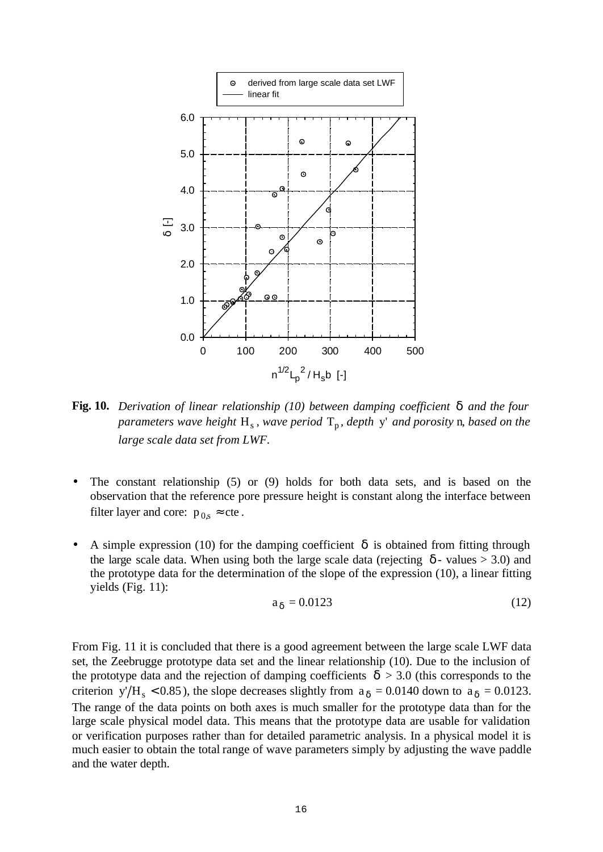

**Fig. 10.** *Derivation of linear relationship (10) between damping coefficient* δ *and the four parameters wave height*  $H_s$ , wave period  $T_p$ , depth y' and porosity **n**, based on the *large scale data set from LWF.*

- The constant relationship  $(5)$  or  $(9)$  holds for both data sets, and is based on the observation that the reference pore pressure height is constant along the interface between filter layer and core:  $p_{0,s} \approx$  cte.
- A simple expression (10) for the damping coefficient  $\delta$  is obtained from fitting through the large scale data. When using both the large scale data (rejecting  $\delta$  - values > 3.0) and the prototype data for the determination of the slope of the expression (10), a linear fitting yields (Fig. 11):

$$
a_{\delta} = 0.0123\tag{12}
$$

From Fig. 11 it is concluded that there is a good agreement between the large scale LWF data set, the Zeebrugge prototype data set and the linear relationship (10). Due to the inclusion of the prototype data and the rejection of damping coefficients  $\delta > 3.0$  (this corresponds to the criterion y'/H<sub>s</sub> < 0.85), the slope decreases slightly from  $a_{\delta} = 0.0140$  down to  $a_{\delta} = 0.0123$ . The range of the data points on both axes is much smaller for the prototype data than for the large scale physical model data. This means that the prototype data are usable for validation or verification purposes rather than for detailed parametric analysis. In a physical model it is much easier to obtain the total range of wave parameters simply by adjusting the wave paddle and the water depth.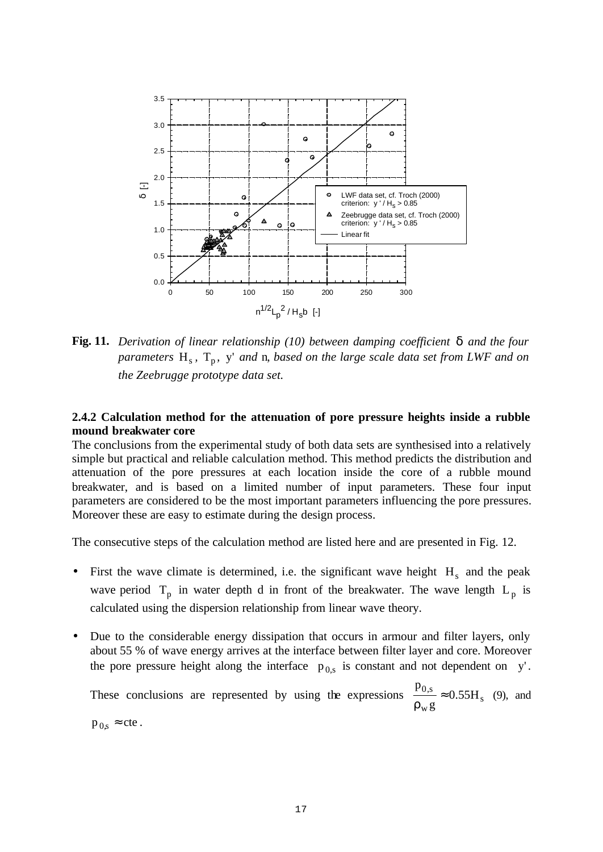

**Fig. 11.** *Derivation of linear relationship (10) between damping coefficient* δ *and the four*  parameters H<sub>s</sub>, T<sub>p</sub>, y' and n, based on the large scale data set from LWF and on *the Zeebrugge prototype data set.*

# **2.4.2 Calculation method for the attenuation of pore pressure heights inside a rubble mound breakwater core**

The conclusions from the experimental study of both data sets are synthesised into a relatively simple but practical and reliable calculation method. This method predicts the distribution and attenuation of the pore pressures at each location inside the core of a rubble mound breakwater, and is based on a limited number of input parameters. These four input parameters are considered to be the most important parameters influencing the pore pressures. Moreover these are easy to estimate during the design process.

The consecutive steps of the calculation method are listed here and are presented in Fig. 12.

- First the wave climate is determined, i.e. the significant wave height  $H_s$  and the peak wave period  $T_p$  in water depth d in front of the breakwater. The wave length  $L_p$  is calculated using the dispersion relationship from linear wave theory.
- Due to the considerable energy dissipation that occurs in armour and filter layers, only about 55 % of wave energy arrives at the interface between filter layer and core. Moreover the pore pressure height along the interface  $p_{0,s}$  is constant and not dependent on y'.

These conclusions are represented by using the expressions  $\frac{10^{18}}{20^{18}} \approx 0.55H_s$ w  $\frac{0,s}{s} \approx 0.55H$ g p ≈ ρ (9), and  $p_{0,s} \approx cte$ .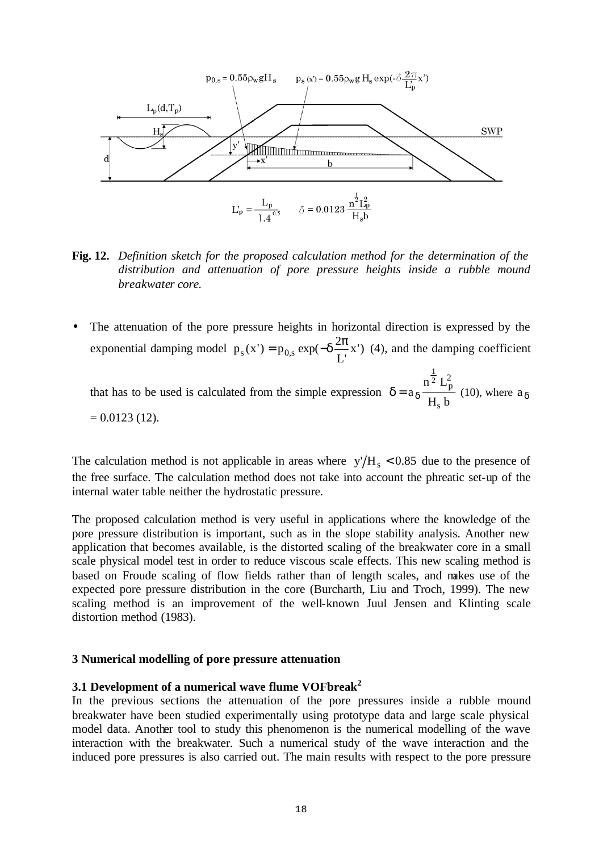

**Fig. 12.** *Definition sketch for the proposed calculation method for the determination of the distribution and attenuation of pore pressure heights inside a rubble mound breakwater core.*

The attenuation of the pore pressure heights in horizontal direction is expressed by the exponential damping model  $p_s(x') = p_0$ ,  $exp(-\delta \frac{2\pi}{x})$ L'  $p_s(x') = p_{0,s} \exp(-\delta \frac{2\pi}{l} x')$  (4), and the damping coefficient that has to be used is calculated from the simple expression  $H_s b$  $n^2$  L a s 2 <sup>2</sup>  $L_p^2$ 1  $\delta = a_{\delta} \frac{\overline{a} - \overline{b}}{\overline{b} + \overline{b}}$  (10), where  $a_{\delta}$  $= 0.0123(12)$ .

The calculation method is not applicable in areas where  $y/H_s < 0.85$  due to the presence of the free surface. The calculation method does not take into account the phreatic set-up of the internal water table neither the hydrostatic pressure.

The proposed calculation method is very useful in applications where the knowledge of the pore pressure distribution is important, such as in the slope stability analysis. Another new application that becomes available, is the distorted scaling of the breakwater core in a small scale physical model test in order to reduce viscous scale effects. This new scaling method is based on Froude scaling of flow fields rather than of length scales, and makes use of the expected pore pressure distribution in the core (Burcharth, Liu and Troch, 1999). The new scaling method is an improvement of the well-known Juul Jensen and Klinting scale distortion method (1983).

### **3 Numerical modelling of pore pressure attenuation**

# **3.1 Development of a numerical wave flume VOFbreak<sup>2</sup>**

In the previous sections the attenuation of the pore pressures inside a rubble mound breakwater have been studied experimentally using prototype data and large scale physical model data. Another tool to study this phenomenon is the numerical modelling of the wave interaction with the breakwater. Such a numerical study of the wave interaction and the induced pore pressures is also carried out. The main results with respect to the pore pressure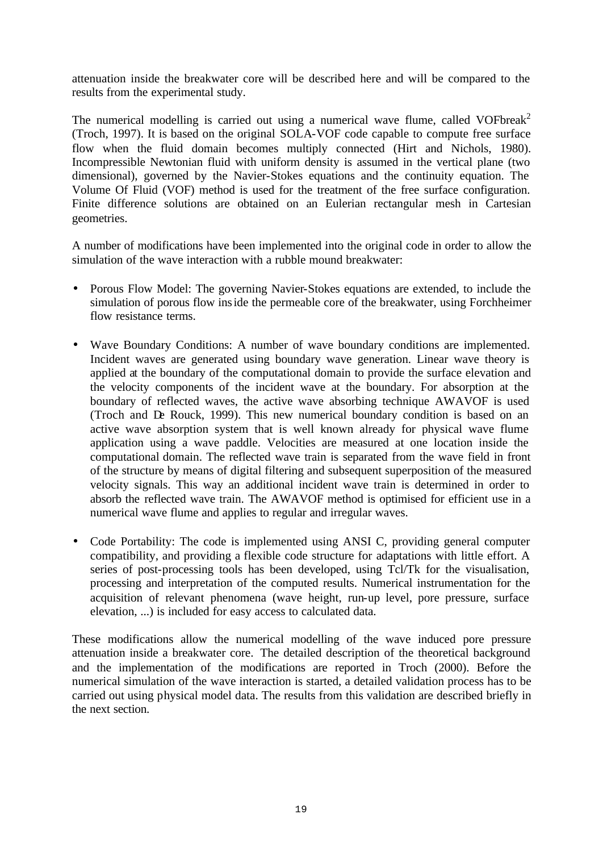attenuation inside the breakwater core will be described here and will be compared to the results from the experimental study.

The numerical modelling is carried out using a numerical wave flume, called VOFbreak<sup>2</sup> (Troch, 1997). It is based on the original SOLA-VOF code capable to compute free surface flow when the fluid domain becomes multiply connected (Hirt and Nichols, 1980). Incompressible Newtonian fluid with uniform density is assumed in the vertical plane (two dimensional), governed by the Navier-Stokes equations and the continuity equation. The Volume Of Fluid (VOF) method is used for the treatment of the free surface configuration. Finite difference solutions are obtained on an Eulerian rectangular mesh in Cartesian geometries.

A number of modifications have been implemented into the original code in order to allow the simulation of the wave interaction with a rubble mound breakwater:

- Porous Flow Model: The governing Navier-Stokes equations are extended, to include the simulation of porous flow inside the permeable core of the breakwater, using Forchheimer flow resistance terms.
- Wave Boundary Conditions: A number of wave boundary conditions are implemented. Incident waves are generated using boundary wave generation. Linear wave theory is applied at the boundary of the computational domain to provide the surface elevation and the velocity components of the incident wave at the boundary. For absorption at the boundary of reflected waves, the active wave absorbing technique AWAVOF is used (Troch and De Rouck, 1999). This new numerical boundary condition is based on an active wave absorption system that is well known already for physical wave flume application using a wave paddle. Velocities are measured at one location inside the computational domain. The reflected wave train is separated from the wave field in front of the structure by means of digital filtering and subsequent superposition of the measured velocity signals. This way an additional incident wave train is determined in order to absorb the reflected wave train. The AWAVOF method is optimised for efficient use in a numerical wave flume and applies to regular and irregular waves.
- Code Portability: The code is implemented using ANSI C, providing general computer compatibility, and providing a flexible code structure for adaptations with little effort. A series of post-processing tools has been developed, using Tcl/Tk for the visualisation, processing and interpretation of the computed results. Numerical instrumentation for the acquisition of relevant phenomena (wave height, run-up level, pore pressure, surface elevation, ...) is included for easy access to calculated data.

These modifications allow the numerical modelling of the wave induced pore pressure attenuation inside a breakwater core. The detailed description of the theoretical background and the implementation of the modifications are reported in Troch (2000). Before the numerical simulation of the wave interaction is started, a detailed validation process has to be carried out using physical model data. The results from this validation are described briefly in the next section.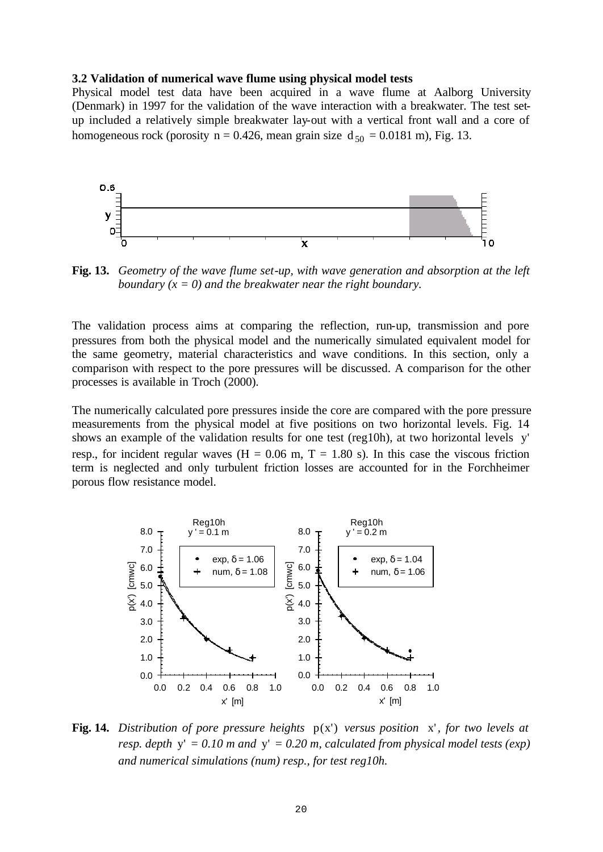### **3.2 Validation of numerical wave flume using physical model tests**

Physical model test data have been acquired in a wave flume at Aalborg University (Denmark) in 1997 for the validation of the wave interaction with a breakwater. The test setup included a relatively simple breakwater lay-out with a vertical front wall and a core of homogeneous rock (porosity n = 0.426, mean grain size  $d_{50} = 0.0181$  m), Fig. 13.



**Fig. 13.** *Geometry of the wave flume set-up, with wave generation and absorption at the left boundary (x = 0) and the breakwater near the right boundary.*

The validation process aims at comparing the reflection, run-up, transmission and pore pressures from both the physical model and the numerically simulated equivalent model for the same geometry, material characteristics and wave conditions. In this section, only a comparison with respect to the pore pressures will be discussed. A comparison for the other processes is available in Troch (2000).

The numerically calculated pore pressures inside the core are compared with the pore pressure measurements from the physical model at five positions on two horizontal levels. Fig. 14 shows an example of the validation results for one test (reg10h), at two horizontal levels y' resp., for incident regular waves  $(H = 0.06 \text{ m}, T = 1.80 \text{ s})$ . In this case the viscous friction term is neglected and only turbulent friction losses are accounted for in the Forchheimer porous flow resistance model.



**Fig. 14.** Distribution of pore pressure heights  $p(x')$  versus position x', for two levels at *resp. depth* y' *= 0.10 m and* y' *= 0.20 m, calculated from physical model tests (exp) and numerical simulations (num) resp., for test reg10h.*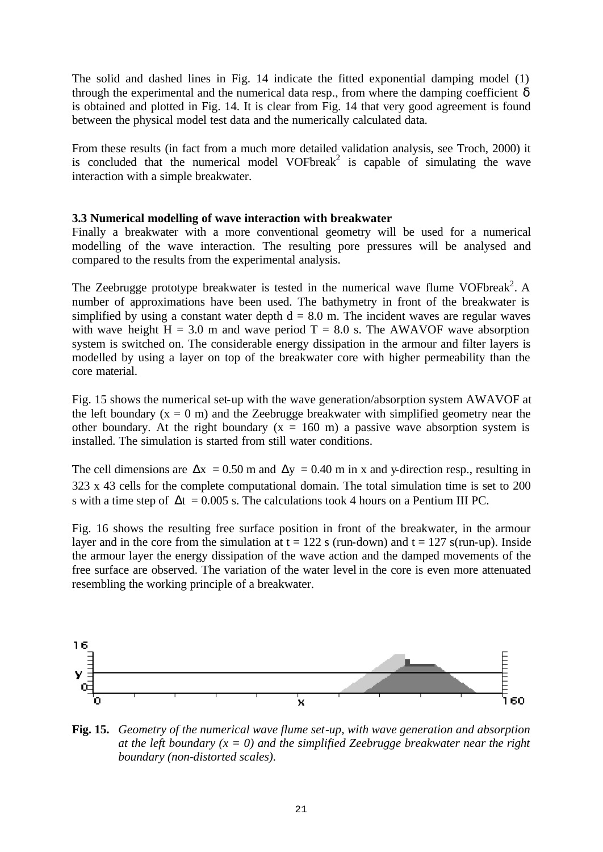The solid and dashed lines in Fig. 14 indicate the fitted exponential damping model (1) through the experimental and the numerical data resp., from where the damping coefficient  $\delta$ is obtained and plotted in Fig. 14. It is clear from Fig. 14 that very good agreement is found between the physical model test data and the numerically calculated data.

From these results (in fact from a much more detailed validation analysis, see Troch, 2000) it is concluded that the numerical model VOFbreak<sup>2</sup> is capable of simulating the wave interaction with a simple breakwater.

# **3.3 Numerical modelling of wave interaction with breakwater**

Finally a breakwater with a more conventional geometry will be used for a numerical modelling of the wave interaction. The resulting pore pressures will be analysed and compared to the results from the experimental analysis.

The Zeebrugge prototype breakwater is tested in the numerical wave flume VOFbreak<sup>2</sup>. A number of approximations have been used. The bathymetry in front of the breakwater is simplified by using a constant water depth  $d = 8.0$  m. The incident waves are regular waves with wave height  $H = 3.0$  m and wave period  $T = 8.0$  s. The AWAVOF wave absorption system is switched on. The considerable energy dissipation in the armour and filter layers is modelled by using a layer on top of the breakwater core with higher permeability than the core material.

Fig. 15 shows the numerical set-up with the wave generation/absorption system AWAVOF at the left boundary  $(x = 0$  m) and the Zeebrugge breakwater with simplified geometry near the other boundary. At the right boundary  $(x = 160 \text{ m})$  a passive wave absorption system is installed. The simulation is started from still water conditions.

The cell dimensions are  $\Delta x = 0.50$  m and  $\Delta y = 0.40$  m in x and y-direction resp., resulting in 323 x 43 cells for the complete computational domain. The total simulation time is set to 200 s with a time step of  $\Delta t = 0.005$  s. The calculations took 4 hours on a Pentium III PC.

Fig. 16 shows the resulting free surface position in front of the breakwater, in the armour layer and in the core from the simulation at  $t = 122$  s (run-down) and  $t = 127$  s(run-up). Inside the armour layer the energy dissipation of the wave action and the damped movements of the free surface are observed. The variation of the water level in the core is even more attenuated resembling the working principle of a breakwater.



**Fig. 15.** *Geometry of the numerical wave flume set-up, with wave generation and absorption at the left boundary (* $x = 0$ *) and the simplified Zeebrugge breakwater near the right boundary (non-distorted scales).*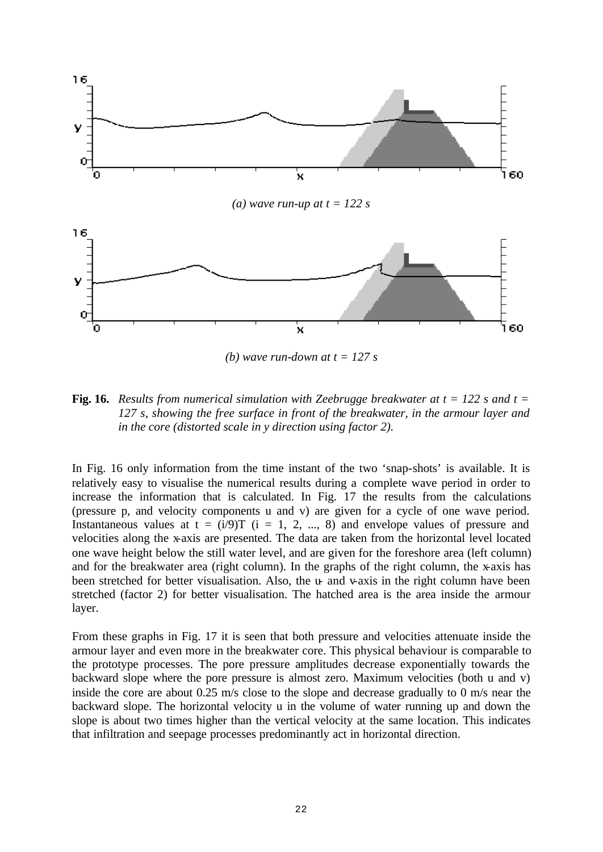

*(b)* wave run-down at  $t = 127$  *s* 

**Fig. 16.** *Results from numerical simulation with Zeebrugge breakwater at t = 122 s and t = 127 s, showing the free surface in front of the breakwater, in the armour layer and in the core (distorted scale in y direction using factor 2).*

In Fig. 16 only information from the time instant of the two 'snap-shots' is available. It is relatively easy to visualise the numerical results during a complete wave period in order to increase the information that is calculated. In Fig. 17 the results from the calculations (pressure p, and velocity components u and v) are given for a cycle of one wave period. Instantaneous values at  $t = (i/9)T$  ( $i = 1, 2, ..., 8$ ) and envelope values of pressure and velocities along the x-axis are presented. The data are taken from the horizontal level located one wave height below the still water level, and are given for the foreshore area (left column) and for the breakwater area (right column). In the graphs of the right column, the x-axis has been stretched for better visualisation. Also, the  $u$ - and v-axis in the right column have been stretched (factor 2) for better visualisation. The hatched area is the area inside the armour layer.

From these graphs in Fig. 17 it is seen that both pressure and velocities attenuate inside the armour layer and even more in the breakwater core. This physical behaviour is comparable to the prototype processes. The pore pressure amplitudes decrease exponentially towards the backward slope where the pore pressure is almost zero. Maximum velocities (both u and v) inside the core are about  $0.25 \text{ m/s}$  close to the slope and decrease gradually to 0 m/s near the backward slope. The horizontal velocity u in the volume of water running up and down the slope is about two times higher than the vertical velocity at the same location. This indicates that infiltration and seepage processes predominantly act in horizontal direction.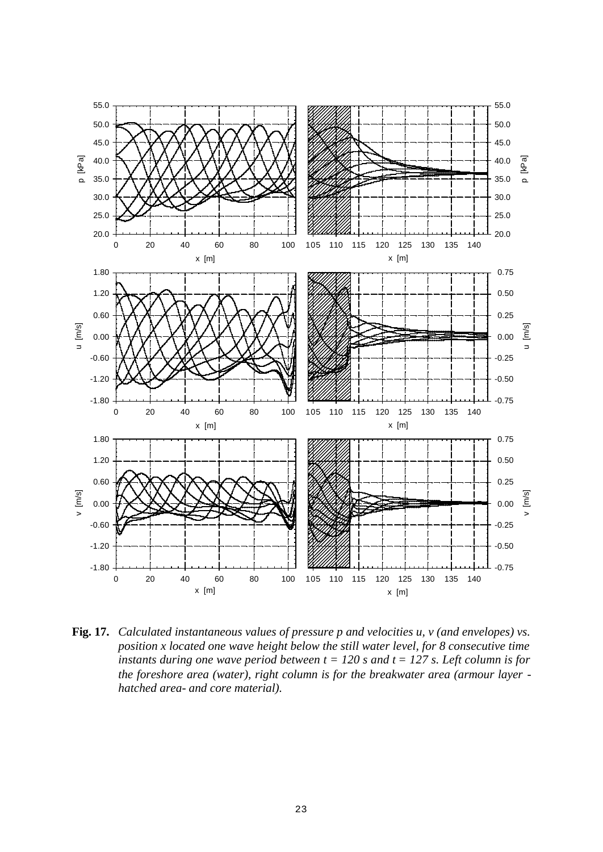

**Fig. 17.** *Calculated instantaneous values of pressure p and velocities u, v (and envelopes) vs. position x located one wave height below the still water level, for 8 consecutive time instants during one wave period between*  $t = 120$  *s and*  $t = 127$  *s. Left column is for the foreshore area (water), right column is for the breakwater area (armour layer hatched area- and core material).*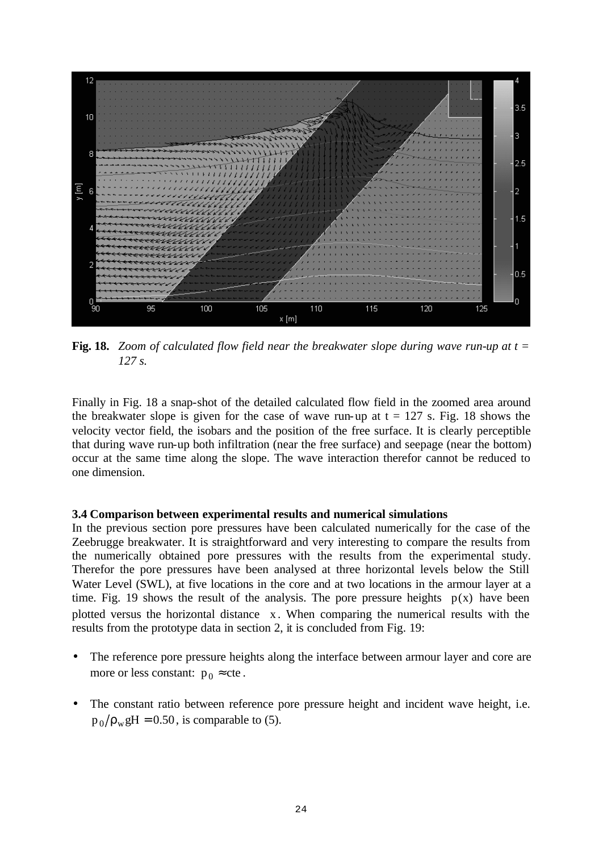

**Fig. 18.** *Zoom of calculated flow field near the breakwater slope during wave run-up at t = 127 s.*

Finally in Fig. 18 a snap-shot of the detailed calculated flow field in the zoomed area around the breakwater slope is given for the case of wave run-up at  $t = 127$  s. Fig. 18 shows the velocity vector field, the isobars and the position of the free surface. It is clearly perceptible that during wave run-up both infiltration (near the free surface) and seepage (near the bottom) occur at the same time along the slope. The wave interaction therefor cannot be reduced to one dimension.

# **3.4 Comparison between experimental results and numerical simulations**

In the previous section pore pressures have been calculated numerically for the case of the Zeebrugge breakwater. It is straightforward and very interesting to compare the results from the numerically obtained pore pressures with the results from the experimental study. Therefor the pore pressures have been analysed at three horizontal levels below the Still Water Level (SWL), at five locations in the core and at two locations in the armour layer at a time. Fig. 19 shows the result of the analysis. The pore pressure heights  $p(x)$  have been plotted versus the horizontal distance x. When comparing the numerical results with the results from the prototype data in section 2, it is concluded from Fig. 19:

- The reference pore pressure heights along the interface between armour layer and core are more or less constant:  $p_0 \approx$  cte.
- The constant ratio between reference pore pressure height and incident wave height, i.e.  $p_0/\rho_w$ gH = 0.50, is comparable to (5).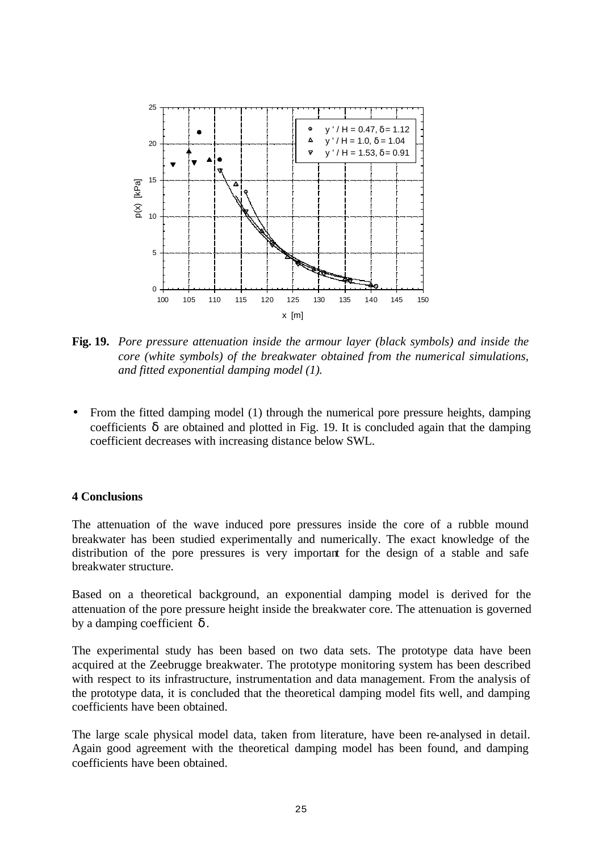

**Fig. 19.** *Pore pressure attenuation inside the armour layer (black symbols) and inside the core (white symbols) of the breakwater obtained from the numerical simulations, and fitted exponential damping model (1).*

• From the fitted damping model (1) through the numerical pore pressure heights, damping coefficients  $\delta$  are obtained and plotted in Fig. 19. It is concluded again that the damping coefficient decreases with increasing distance below SWL.

### **4 Conclusions**

The attenuation of the wave induced pore pressures inside the core of a rubble mound breakwater has been studied experimentally and numerically. The exact knowledge of the distribution of the pore pressures is very important for the design of a stable and safe breakwater structure.

Based on a theoretical background, an exponential damping model is derived for the attenuation of the pore pressure height inside the breakwater core. The attenuation is governed by a damping coefficient  $\delta$ .

The experimental study has been based on two data sets. The prototype data have been acquired at the Zeebrugge breakwater. The prototype monitoring system has been described with respect to its infrastructure, instrumentation and data management. From the analysis of the prototype data, it is concluded that the theoretical damping model fits well, and damping coefficients have been obtained.

The large scale physical model data, taken from literature, have been re-analysed in detail. Again good agreement with the theoretical damping model has been found, and damping coefficients have been obtained.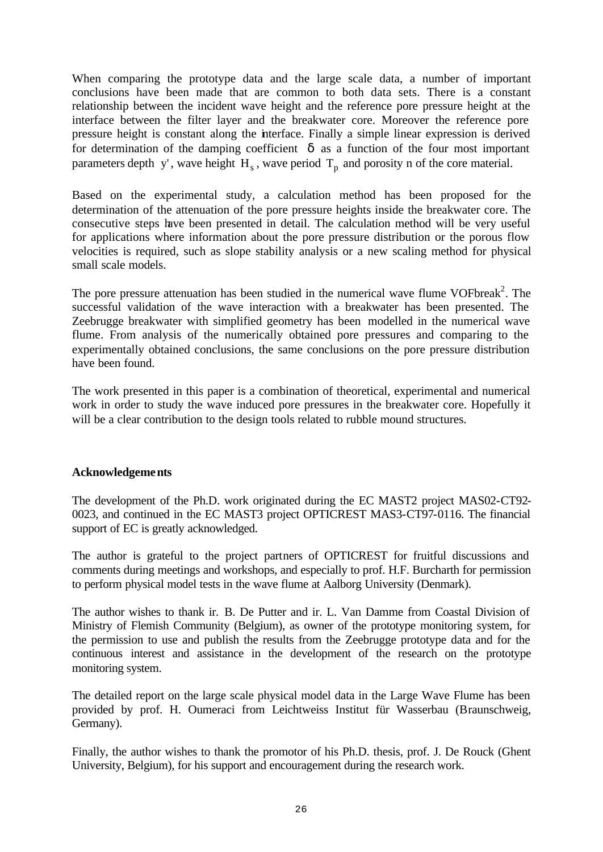When comparing the prototype data and the large scale data, a number of important conclusions have been made that are common to both data sets. There is a constant relationship between the incident wave height and the reference pore pressure height at the interface between the filter layer and the breakwater core. Moreover the reference pore pressure height is constant along the interface. Finally a simple linear expression is derived for determination of the damping coefficient  $\delta$  as a function of the four most important parameters depth y', wave height  $H_s$ , wave period  $T_p$  and porosity n of the core material.

Based on the experimental study, a calculation method has been proposed for the determination of the attenuation of the pore pressure heights inside the breakwater core. The consecutive steps have been presented in detail. The calculation method will be very useful for applications where information about the pore pressure distribution or the porous flow velocities is required, such as slope stability analysis or a new scaling method for physical small scale models.

The pore pressure attenuation has been studied in the numerical wave flume VOFbreak<sup>2</sup>. The successful validation of the wave interaction with a breakwater has been presented. The Zeebrugge breakwater with simplified geometry has been modelled in the numerical wave flume. From analysis of the numerically obtained pore pressures and comparing to the experimentally obtained conclusions, the same conclusions on the pore pressure distribution have been found.

The work presented in this paper is a combination of theoretical, experimental and numerical work in order to study the wave induced pore pressures in the breakwater core. Hopefully it will be a clear contribution to the design tools related to rubble mound structures.

# **Acknowledgements**

The development of the Ph.D. work originated during the EC MAST2 project MAS02-CT92- 0023, and continued in the EC MAST3 project OPTICREST MAS3-CT97-0116. The financial support of EC is greatly acknowledged.

The author is grateful to the project partners of OPTICREST for fruitful discussions and comments during meetings and workshops, and especially to prof. H.F. Burcharth for permission to perform physical model tests in the wave flume at Aalborg University (Denmark).

The author wishes to thank ir. B. De Putter and ir. L. Van Damme from Coastal Division of Ministry of Flemish Community (Belgium), as owner of the prototype monitoring system, for the permission to use and publish the results from the Zeebrugge prototype data and for the continuous interest and assistance in the development of the research on the prototype monitoring system.

The detailed report on the large scale physical model data in the Large Wave Flume has been provided by prof. H. Oumeraci from Leichtweiss Institut für Wasserbau (Braunschweig, Germany).

Finally, the author wishes to thank the promotor of his Ph.D. thesis, prof. J. De Rouck (Ghent University, Belgium), for his support and encouragement during the research work.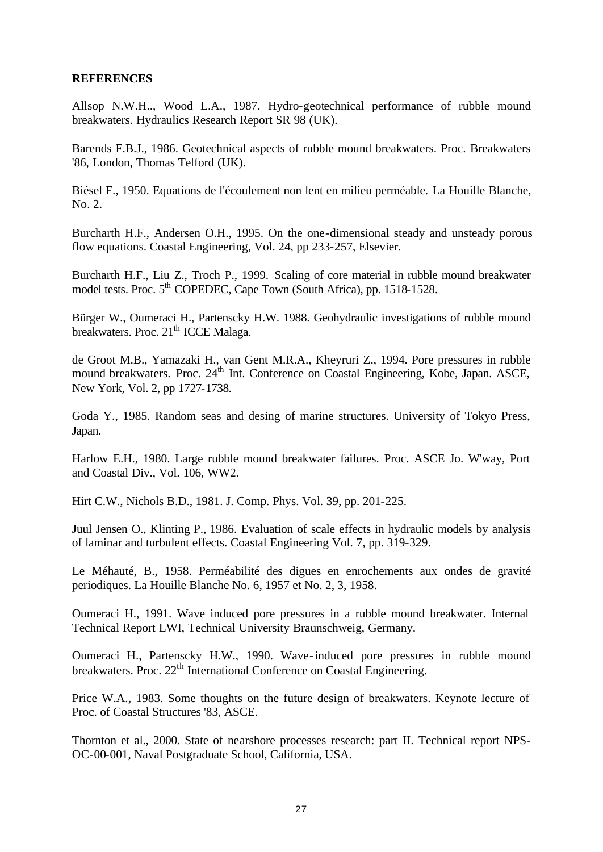## **REFERENCES**

Allsop N.W.H.., Wood L.A., 1987. Hydro-geotechnical performance of rubble mound breakwaters. Hydraulics Research Report SR 98 (UK).

Barends F.B.J., 1986. Geotechnical aspects of rubble mound breakwaters. Proc. Breakwaters '86, London, Thomas Telford (UK).

Biésel F., 1950. Equations de l'écoulement non lent en milieu perméable. La Houille Blanche, No. 2.

Burcharth H.F., Andersen O.H., 1995. On the one-dimensional steady and unsteady porous flow equations. Coastal Engineering, Vol. 24, pp 233-257, Elsevier.

Burcharth H.F., Liu Z., Troch P., 1999. Scaling of core material in rubble mound breakwater model tests. Proc. 5<sup>th</sup> COPEDEC, Cape Town (South Africa), pp. 1518-1528.

Bürger W., Oumeraci H., Partenscky H.W. 1988. Geohydraulic investigations of rubble mound breakwaters. Proc. 21<sup>th</sup> ICCE Malaga.

de Groot M.B., Yamazaki H., van Gent M.R.A., Kheyruri Z., 1994. Pore pressures in rubble mound breakwaters. Proc. 24<sup>th</sup> Int. Conference on Coastal Engineering, Kobe, Japan. ASCE, New York, Vol. 2, pp 1727-1738.

Goda Y., 1985. Random seas and desing of marine structures. University of Tokyo Press, Japan.

Harlow E.H., 1980. Large rubble mound breakwater failures. Proc. ASCE Jo. W'way, Port and Coastal Div., Vol. 106, WW2.

Hirt C.W., Nichols B.D., 1981. J. Comp. Phys. Vol. 39, pp. 201-225.

Juul Jensen O., Klinting P., 1986. Evaluation of scale effects in hydraulic models by analysis of laminar and turbulent effects. Coastal Engineering Vol. 7, pp. 319-329.

Le Méhauté, B., 1958. Perméabilité des digues en enrochements aux ondes de gravité periodiques. La Houille Blanche No. 6, 1957 et No. 2, 3, 1958.

Oumeraci H., 1991. Wave induced pore pressures in a rubble mound breakwater. Internal Technical Report LWI, Technical University Braunschweig, Germany.

Oumeraci H., Partenscky H.W., 1990. Wave-induced pore pressures in rubble mound breakwaters. Proc. 22<sup>th</sup> International Conference on Coastal Engineering.

Price W.A., 1983. Some thoughts on the future design of breakwaters. Keynote lecture of Proc. of Coastal Structures '83, ASCE.

Thornton et al., 2000. State of nearshore processes research: part II. Technical report NPS-OC-00-001, Naval Postgraduate School, California, USA.